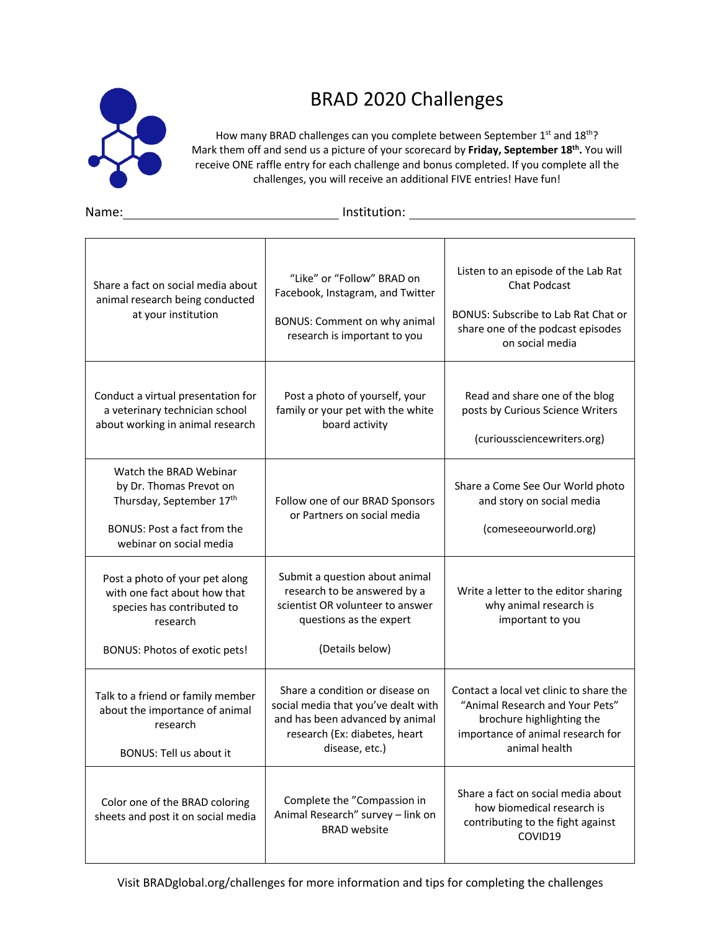

## BRAD 2020 Challenges

How many BRAD challenges can you complete between September 1st and 18th? Mark them off and send us a picture of your scorecard by **Friday, September 18th.** You will receive ONE raffle entry for each challenge and bonus completed. If you complete all the challenges, you will receive an additional FIVE entries! Have fun!

Name: Institution:

| Share a fact on social media about<br>animal research being conducted<br>at your institution                                              | "Like" or "Follow" BRAD on<br>Facebook, Instagram, and Twitter<br><b>BONUS: Comment on why animal</b><br>research is important to you                        | Listen to an episode of the Lab Rat<br><b>Chat Podcast</b><br><b>BONUS: Subscribe to Lab Rat Chat or</b><br>share one of the podcast episodes<br>on social media |
|-------------------------------------------------------------------------------------------------------------------------------------------|--------------------------------------------------------------------------------------------------------------------------------------------------------------|------------------------------------------------------------------------------------------------------------------------------------------------------------------|
| Conduct a virtual presentation for<br>a veterinary technician school<br>about working in animal research                                  | Post a photo of yourself, your<br>family or your pet with the white<br>board activity                                                                        | Read and share one of the blog<br>posts by Curious Science Writers<br>(curioussciencewriters.org)                                                                |
| Watch the BRAD Webinar<br>by Dr. Thomas Prevot on<br>Thursday, September 17th<br>BONUS: Post a fact from the<br>webinar on social media   | Follow one of our BRAD Sponsors<br>or Partners on social media                                                                                               | Share a Come See Our World photo<br>and story on social media<br>(comeseeourworld.org)                                                                           |
| Post a photo of your pet along<br>with one fact about how that<br>species has contributed to<br>research<br>BONUS: Photos of exotic pets! | Submit a question about animal<br>research to be answered by a<br>scientist OR volunteer to answer<br>questions as the expert<br>(Details below)             | Write a letter to the editor sharing<br>why animal research is<br>important to you                                                                               |
| Talk to a friend or family member<br>about the importance of animal<br>research<br><b>BONUS: Tell us about it</b>                         | Share a condition or disease on<br>social media that you've dealt with<br>and has been advanced by animal<br>research (Ex: diabetes, heart<br>disease, etc.) | Contact a local vet clinic to share the<br>"Animal Research and Your Pets"<br>brochure highlighting the<br>importance of animal research for<br>animal health    |
| Color one of the BRAD coloring<br>sheets and post it on social media                                                                      | Complete the "Compassion in<br>Animal Research" survey - link on<br><b>BRAD</b> website                                                                      | Share a fact on social media about<br>how biomedical research is<br>contributing to the fight against<br>COVID19                                                 |